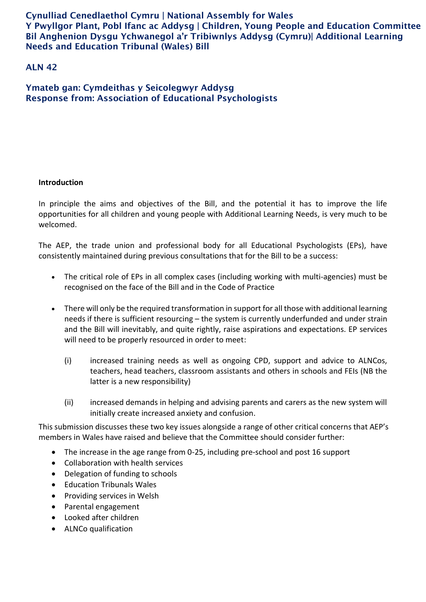Cynulliad Cenedlaethol Cymru | National Assembly for Wales Y Pwyllgor Plant, Pobl Ifanc ac Addysg | Children, Young People and Education Committee Bil Anghenion Dysgu Ychwanegol a'r Tribiwnlys Addysg (Cymru)| Additional Learning Needs and Education Tribunal (Wales) Bill

# ALN 42

Ymateb gan: Cymdeithas y Seicolegwyr Addysg Response from: Association of Educational Psychologists

## **Introduction**

In principle the aims and objectives of the Bill, and the potential it has to improve the life opportunities for all children and young people with Additional Learning Needs, is very much to be welcomed.

The AEP, the trade union and professional body for all Educational Psychologists (EPs), have consistently maintained during previous consultations that for the Bill to be a success:

- The critical role of EPs in all complex cases (including working with multi-agencies) must be recognised on the face of the Bill and in the Code of Practice
- There will only be the required transformation in support for all those with additional learning needs if there is sufficient resourcing – the system is currently underfunded and under strain and the Bill will inevitably, and quite rightly, raise aspirations and expectations. EP services will need to be properly resourced in order to meet:
	- (i) increased training needs as well as ongoing CPD, support and advice to ALNCos, teachers, head teachers, classroom assistants and others in schools and FEIs (NB the latter is a new responsibility)
	- (ii) increased demands in helping and advising parents and carers as the new system will initially create increased anxiety and confusion.

This submission discusses these two key issues alongside a range of other critical concerns that AEP's members in Wales have raised and believe that the Committee should consider further:

- The increase in the age range from 0-25, including pre-school and post 16 support
- Collaboration with health services
- Delegation of funding to schools
- Education Tribunals Wales
- Providing services in Welsh
- Parental engagement
- Looked after children
- ALNCo qualification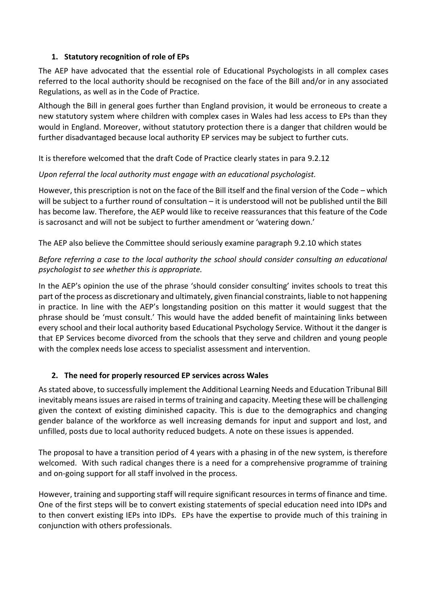## **1. Statutory recognition of role of EPs**

The AEP have advocated that the essential role of Educational Psychologists in all complex cases referred to the local authority should be recognised on the face of the Bill and/or in any associated Regulations, as well as in the Code of Practice.

Although the Bill in general goes further than England provision, it would be erroneous to create a new statutory system where children with complex cases in Wales had less access to EPs than they would in England. Moreover, without statutory protection there is a danger that children would be further disadvantaged because local authority EP services may be subject to further cuts.

It is therefore welcomed that the draft Code of Practice clearly states in para 9.2.12

## *Upon referral the local authority must engage with an educational psychologist.*

However, this prescription is not on the face of the Bill itself and the final version of the Code – which will be subject to a further round of consultation – it is understood will not be published until the Bill has become law. Therefore, the AEP would like to receive reassurances that this feature of the Code is sacrosanct and will not be subject to further amendment or 'watering down.'

The AEP also believe the Committee should seriously examine paragraph 9.2.10 which states

# *Before referring a case to the local authority the school should consider consulting an educational psychologist to see whether this is appropriate.*

In the AEP's opinion the use of the phrase 'should consider consulting' invites schools to treat this part of the process as discretionary and ultimately, given financial constraints, liable to not happening in practice. In line with the AEP's longstanding position on this matter it would suggest that the phrase should be 'must consult.' This would have the added benefit of maintaining links between every school and their local authority based Educational Psychology Service. Without it the danger is that EP Services become divorced from the schools that they serve and children and young people with the complex needs lose access to specialist assessment and intervention.

# **2. The need for properly resourced EP services across Wales**

As stated above, to successfully implement the Additional Learning Needs and Education Tribunal Bill inevitably means issues are raised in terms of training and capacity. Meeting these will be challenging given the context of existing diminished capacity. This is due to the demographics and changing gender balance of the workforce as well increasing demands for input and support and lost, and unfilled, posts due to local authority reduced budgets. A note on these issues is appended.

The proposal to have a transition period of 4 years with a phasing in of the new system, is therefore welcomed. With such radical changes there is a need for a comprehensive programme of training and on-going support for all staff involved in the process.

However, training and supporting staff will require significant resources in terms of finance and time. One of the first steps will be to convert existing statements of special education need into IDPs and to then convert existing IEPs into IDPs. EPs have the expertise to provide much of this training in conjunction with others professionals.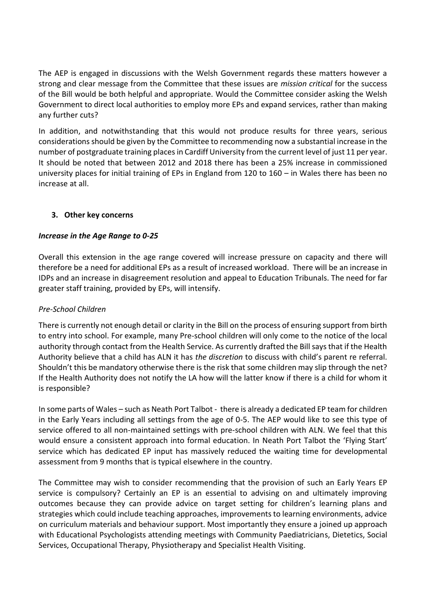The AEP is engaged in discussions with the Welsh Government regards these matters however a strong and clear message from the Committee that these issues are *mission critical* for the success of the Bill would be both helpful and appropriate. Would the Committee consider asking the Welsh Government to direct local authorities to employ more EPs and expand services, rather than making any further cuts?

In addition, and notwithstanding that this would not produce results for three years, serious considerations should be given by the Committee to recommending now a substantial increase in the number of postgraduate training places in Cardiff University from the current level of just 11 per year. It should be noted that between 2012 and 2018 there has been a 25% increase in commissioned university places for initial training of EPs in England from 120 to 160 – in Wales there has been no increase at all.

## **3. Other key concerns**

## *Increase in the Age Range to 0-25*

Overall this extension in the age range covered will increase pressure on capacity and there will therefore be a need for additional EPs as a result of increased workload. There will be an increase in IDPs and an increase in disagreement resolution and appeal to Education Tribunals. The need for far greater staff training, provided by EPs, will intensify.

#### *Pre-School Children*

There is currently not enough detail or clarity in the Bill on the process of ensuring support from birth to entry into school. For example, many Pre-school children will only come to the notice of the local authority through contact from the Health Service. As currently drafted the Bill says that if the Health Authority believe that a child has ALN it has *the discretion* to discuss with child's parent re referral. Shouldn't this be mandatory otherwise there is the risk that some children may slip through the net? If the Health Authority does not notify the LA how will the latter know if there is a child for whom it is responsible?

In some parts of Wales – such as Neath Port Talbot - there is already a dedicated EP team for children in the Early Years including all settings from the age of 0-5. The AEP would like to see this type of service offered to all non-maintained settings with pre-school children with ALN. We feel that this would ensure a consistent approach into formal education. In Neath Port Talbot the 'Flying Start' service which has dedicated EP input has massively reduced the waiting time for developmental assessment from 9 months that is typical elsewhere in the country.

The Committee may wish to consider recommending that the provision of such an Early Years EP service is compulsory? Certainly an EP is an essential to advising on and ultimately improving outcomes because they can provide advice on target setting for children's learning plans and strategies which could include teaching approaches, improvements to learning environments, advice on curriculum materials and behaviour support. Most importantly they ensure a joined up approach with Educational Psychologists attending meetings with Community Paediatricians, Dietetics, Social Services, Occupational Therapy, Physiotherapy and Specialist Health Visiting.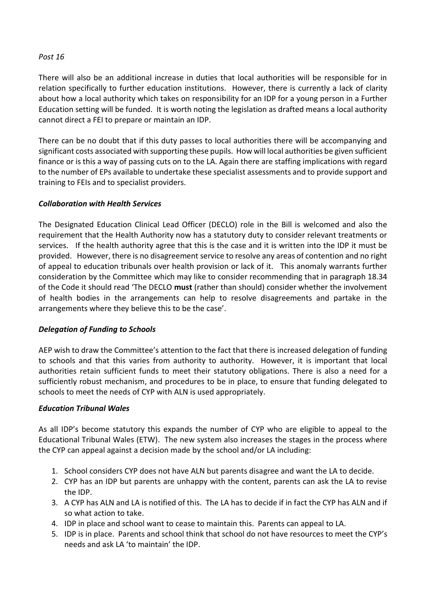## *Post 16*

There will also be an additional increase in duties that local authorities will be responsible for in relation specifically to further education institutions. However, there is currently a lack of clarity about how a local authority which takes on responsibility for an IDP for a young person in a Further Education setting will be funded. It is worth noting the legislation as drafted means a local authority cannot direct a FEI to prepare or maintain an IDP.

There can be no doubt that if this duty passes to local authorities there will be accompanying and significant costs associated with supporting these pupils. How will local authorities be given sufficient finance or is this a way of passing cuts on to the LA. Again there are staffing implications with regard to the number of EPs available to undertake these specialist assessments and to provide support and training to FEIs and to specialist providers.

## *Collaboration with Health Services*

The Designated Education Clinical Lead Officer (DECLO) role in the Bill is welcomed and also the requirement that the Health Authority now has a statutory duty to consider relevant treatments or services. If the health authority agree that this is the case and it is written into the IDP it must be provided. However, there is no disagreement service to resolve any areas of contention and no right of appeal to education tribunals over health provision or lack of it. This anomaly warrants further consideration by the Committee which may like to consider recommending that in paragraph 18.34 of the Code it should read 'The DECLO **must** (rather than should) consider whether the involvement of health bodies in the arrangements can help to resolve disagreements and partake in the arrangements where they believe this to be the case'.

## *Delegation of Funding to Schools*

AEP wish to draw the Committee's attention to the fact that there is increased delegation of funding to schools and that this varies from authority to authority. However, it is important that local authorities retain sufficient funds to meet their statutory obligations. There is also a need for a sufficiently robust mechanism, and procedures to be in place, to ensure that funding delegated to schools to meet the needs of CYP with ALN is used appropriately.

#### *Education Tribunal Wales*

As all IDP's become statutory this expands the number of CYP who are eligible to appeal to the Educational Tribunal Wales (ETW). The new system also increases the stages in the process where the CYP can appeal against a decision made by the school and/or LA including:

- 1. School considers CYP does not have ALN but parents disagree and want the LA to decide.
- 2. CYP has an IDP but parents are unhappy with the content, parents can ask the LA to revise the IDP.
- 3. A CYP has ALN and LA is notified of this. The LA has to decide if in fact the CYP has ALN and if so what action to take.
- 4. IDP in place and school want to cease to maintain this. Parents can appeal to LA.
- 5. IDP is in place. Parents and school think that school do not have resources to meet the CYP's needs and ask LA 'to maintain' the IDP.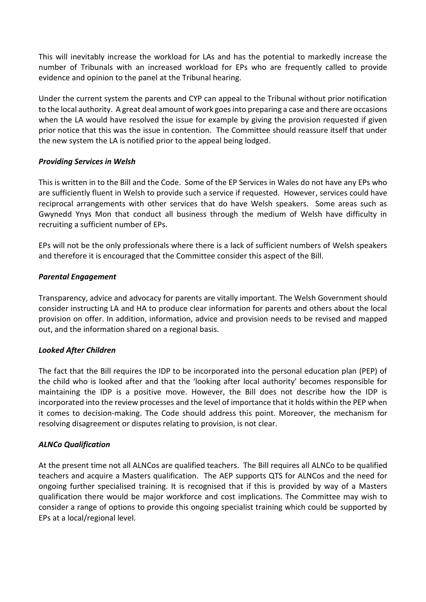This will inevitably increase the workload for LAs and has the potential to markedly increase the number of Tribunals with an increased workload for EPs who are frequently called to provide evidence and opinion to the panel at the Tribunal hearing.

Under the current system the parents and CYP can appeal to the Tribunal without prior notification to the local authority. A great deal amount of work goes into preparing a case and there are occasions when the LA would have resolved the issue for example by giving the provision requested if given prior notice that this was the issue in contention. The Committee should reassure itself that under the new system the LA is notified prior to the appeal being lodged.

## *Providing Services in Welsh*

This is written in to the Bill and the Code. Some of the EP Services in Wales do not have any EPs who are sufficiently fluent in Welsh to provide such a service if requested. However, services could have reciprocal arrangements with other services that do have Welsh speakers. Some areas such as Gwynedd Ynys Mon that conduct all business through the medium of Welsh have difficulty in recruiting a sufficient number of EPs.

EPs will not be the only professionals where there is a lack of sufficient numbers of Welsh speakers and therefore it is encouraged that the Committee consider this aspect of the Bill.

## *Parental Engagement*

Transparency, advice and advocacy for parents are vitally important. The Welsh Government should consider instructing LA and HA to produce clear information for parents and others about the local provision on offer. In addition, information, advice and provision needs to be revised and mapped out, and the information shared on a regional basis.

#### *Looked After Children*

The fact that the Bill requires the IDP to be incorporated into the personal education plan (PEP) of the child who is looked after and that the 'looking after local authority' becomes responsible for maintaining the IDP is a positive move. However, the Bill does not describe how the IDP is incorporated into the review processes and the level of importance that it holds within the PEP when it comes to decision-making. The Code should address this point. Moreover, the mechanism for resolving disagreement or disputes relating to provision, is not clear.

#### *ALNCo Qualification*

At the present time not all ALNCos are qualified teachers. The Bill requires all ALNCo to be qualified teachers and acquire a Masters qualification. The AEP supports QTS for ALNCos and the need for ongoing further specialised training. It is recognised that if this is provided by way of a Masters qualification there would be major workforce and cost implications. The Committee may wish to consider a range of options to provide this ongoing specialist training which could be supported by EPs at a local/regional level.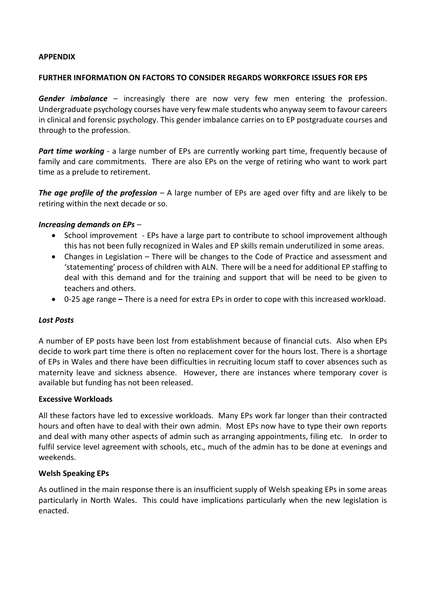## **APPENDIX**

#### **FURTHER INFORMATION ON FACTORS TO CONSIDER REGARDS WORKFORCE ISSUES FOR EPS**

*Gender imbalance* – increasingly there are now very few men entering the profession. Undergraduate psychology courses have very few male students who anyway seem to favour careers in clinical and forensic psychology. This gender imbalance carries on to EP postgraduate courses and through to the profession.

**Part time working** - a large number of EPs are currently working part time, frequently because of family and care commitments. There are also EPs on the verge of retiring who want to work part time as a prelude to retirement.

*The age profile of the profession* – A large number of EPs are aged over fifty and are likely to be retiring within the next decade or so.

## *Increasing demands on EPs –*

- School improvement EPs have a large part to contribute to school improvement although this has not been fully recognized in Wales and EP skills remain underutilized in some areas.
- Changes in Legislation There will be changes to the Code of Practice and assessment and 'statementing' process of children with ALN. There will be a need for additional EP staffing to deal with this demand and for the training and support that will be need to be given to teachers and others.
- 0-25 age range **–** There is a need for extra EPs in order to cope with this increased workload.

#### *Lost Posts*

A number of EP posts have been lost from establishment because of financial cuts. Also when EPs decide to work part time there is often no replacement cover for the hours lost. There is a shortage of EPs in Wales and there have been difficulties in recruiting locum staff to cover absences such as maternity leave and sickness absence. However, there are instances where temporary cover is available but funding has not been released.

#### **Excessive Workloads**

All these factors have led to excessive workloads. Many EPs work far longer than their contracted hours and often have to deal with their own admin. Most EPs now have to type their own reports and deal with many other aspects of admin such as arranging appointments, filing etc. In order to fulfil service level agreement with schools, etc., much of the admin has to be done at evenings and weekends.

#### **Welsh Speaking EPs**

As outlined in the main response there is an insufficient supply of Welsh speaking EPs in some areas particularly in North Wales. This could have implications particularly when the new legislation is enacted.